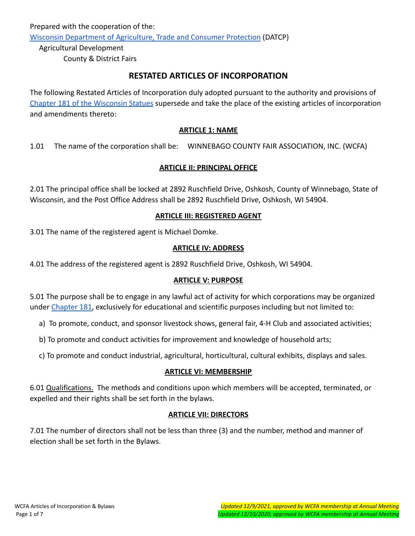Prepared with the cooperation of the: [Wisconsin Department of Agriculture, Trade and Consumer Protection](https://datcp.wi.gov/Pages/AgDevelopment/FairsAndShows.aspxShows.aspx) (DATCP)

Agricultural Development County & District Fairs

# **RESTATED ARTICLES OF INCORPORATION**

The following Restated Articles of Incorporation duly adopted pursuant to the authority and provisions of [Chapter 181 of the Wisconsin Statues](https://docs.legis.wisconsin.gov/statutes/statutes/181) supersede and take the place of the existing articles of incorporation and amendments thereto:

### **ARTICLE 1: NAME**

1.01 The name of the corporation shall be: WINNEBAGO COUNTY FAIR ASSOCIATION, INC. (WCFA)

### **ARTICLE II: PRINCIPAL OFFICE**

2.01 The principal office shall be locked at 2892 Ruschfield Drive, Oshkosh, County of Winnebago, State of Wisconsin, and the Post Office Address shall be 2892 Ruschfield Drive, Oshkosh, WI 54904.

#### **ARTICLE III: REGISTERED AGENT**

3.01 The name of the registered agent is Michael Domke.

### **ARTICLE IV: ADDRESS**

4.01 The address of the registered agent is 2892 Ruschfield Drive, Oshkosh, WI 54904.

#### **ARTICLE V: PURPOSE**

5.01 The purpose shall be to engage in any lawful act of activity for which corporations may be organized under [Chapter 181,](https://docs.legis.wisconsin.gov/statutes/statutes/181) exclusively for educational and scientific purposes including but not limited to:

a) To promote, conduct, and sponsor livestock shows, general fair, 4-H Club and associated activities;

b) To promote and conduct activities for improvement and knowledge of household arts;

c) To promote and conduct industrial, agricultural, horticultural, cultural exhibits, displays and sales.

#### **ARTICLE VI: MEMBERSHIP**

6.01 Qualifications. The methods and conditions upon which members will be accepted, terminated, or expelled and their rights shall be set forth in the bylaws.

# **ARTICLE VII: DIRECTORS**

7.01 The number of directors shall not be less than three (3) and the number, method and manner of election shall be set forth in the Bylaws.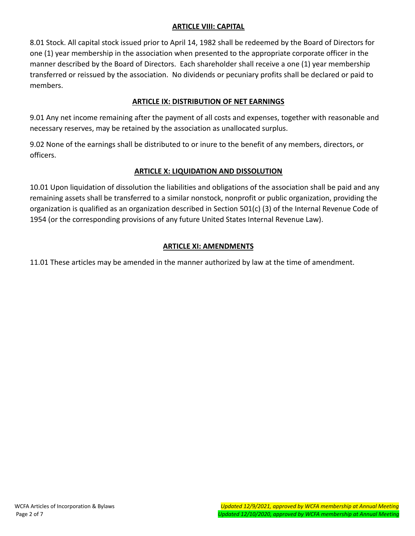### **ARTICLE VIII: CAPITAL**

8.01 Stock. All capital stock issued prior to April 14, 1982 shall be redeemed by the Board of Directors for one (1) year membership in the association when presented to the appropriate corporate officer in the manner described by the Board of Directors. Each shareholder shall receive a one (1) year membership transferred or reissued by the association. No dividends or pecuniary profits shall be declared or paid to members.

# **ARTICLE IX: DISTRIBUTION OF NET EARNINGS**

9.01 Any net income remaining after the payment of all costs and expenses, together with reasonable and necessary reserves, may be retained by the association as unallocated surplus.

9.02 None of the earnings shall be distributed to or inure to the benefit of any members, directors, or officers.

# **ARTICLE X: LIQUIDATION AND DISSOLUTION**

10.01 Upon liquidation of dissolution the liabilities and obligations of the association shall be paid and any remaining assets shall be transferred to a similar nonstock, nonprofit or public organization, providing the organization is qualified as an organization described in Section 501(c) (3) of the Internal Revenue Code of 1954 (or the corresponding provisions of any future United States Internal Revenue Law).

# **ARTICLE XI: AMENDMENTS**

11.01 These articles may be amended in the manner authorized by law at the time of amendment.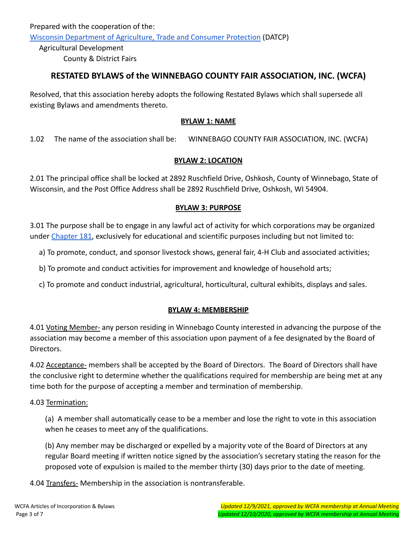Prepared with the cooperation of the: [Wisconsin Department of Agriculture, Trade and Consumer Protection](https://datcp.wi.gov/Pages/AgDevelopment/FairsAndShows.aspxShows.aspx) (DATCP)

Agricultural Development County & District Fairs

# **RESTATED BYLAWS of the WINNEBAGO COUNTY FAIR ASSOCIATION, INC. (WCFA)**

Resolved, that this association hereby adopts the following Restated Bylaws which shall supersede all existing Bylaws and amendments thereto.

### **BYLAW 1: NAME**

1.02 The name of the association shall be: WINNEBAGO COUNTY FAIR ASSOCIATION, INC. (WCFA)

# **BYLAW 2: LOCATION**

2.01 The principal office shall be locked at 2892 Ruschfield Drive, Oshkosh, County of Winnebago, State of Wisconsin, and the Post Office Address shall be 2892 Ruschfield Drive, Oshkosh, WI 54904.

# **BYLAW 3: PURPOSE**

3.01 The purpose shall be to engage in any lawful act of activity for which corporations may be organized under [Chapter 181,](https://docs.legis.wisconsin.gov/statutes/statutes/181) exclusively for educational and scientific purposes including but not limited to:

a) To promote, conduct, and sponsor livestock shows, general fair, 4-H Club and associated activities;

b) To promote and conduct activities for improvement and knowledge of household arts;

c) To promote and conduct industrial, agricultural, horticultural, cultural exhibits, displays and sales.

# **BYLAW 4: MEMBERSHIP**

4.01 Voting Member- any person residing in Winnebago County interested in advancing the purpose of the association may become a member of this association upon payment of a fee designated by the Board of Directors.

4.02 Acceptance- members shall be accepted by the Board of Directors. The Board of Directors shall have the conclusive right to determine whether the qualifications required for membership are being met at any time both for the purpose of accepting a member and termination of membership.

# 4.03 Termination:

(a) A member shall automatically cease to be a member and lose the right to vote in this association when he ceases to meet any of the qualifications.

(b) Any member may be discharged or expelled by a majority vote of the Board of Directors at any regular Board meeting if written notice signed by the association's secretary stating the reason for the proposed vote of expulsion is mailed to the member thirty (30) days prior to the date of meeting.

4.04 Transfers- Membership in the association is nontransferable.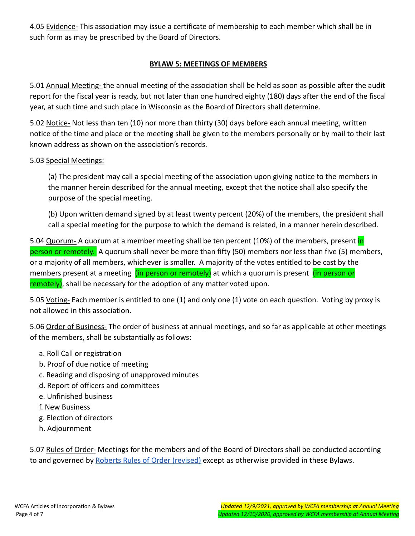4.05 Evidence- This association may issue a certificate of membership to each member which shall be in such form as may be prescribed by the Board of Directors.

# **BYLAW 5: MEETINGS OF MEMBERS**

5.01 Annual Meeting- the annual meeting of the association shall be held as soon as possible after the audit report for the fiscal year is ready, but not later than one hundred eighty (180) days after the end of the fiscal year, at such time and such place in Wisconsin as the Board of Directors shall determine.

5.02 Notice- Not less than ten (10) nor more than thirty (30) days before each annual meeting, written notice of the time and place or the meeting shall be given to the members personally or by mail to their last known address as shown on the association's records.

### 5.03 Special Meetings:

(a) The president may call a special meeting of the association upon giving notice to the members in the manner herein described for the annual meeting, except that the notice shall also specify the purpose of the special meeting.

(b) Upon written demand signed by at least twenty percent (20%) of the members, the president shall call a special meeting for the purpose to which the demand is related, in a manner herein described.

5.04 Quorum- A quorum at a member meeting shall be ten percent (10%) of the members, present in person or remotely. A quorum shall never be more than fifty (50) members nor less than five (5) members, or a majority of all members, whichever is smaller. A majority of the votes entitled to be cast by the members present at a meeting (in person or remotely) at which a quorum is present (in person or remotely), shall be necessary for the adoption of any matter voted upon.

5.05 Voting- Each member is entitled to one (1) and only one (1) vote on each question. Voting by proxy is not allowed in this association.

5.06 Order of Business- The order of business at annual meetings, and so far as applicable at other meetings of the members, shall be substantially as follows:

- a. Roll Call or registration
- b. Proof of due notice of meeting
- c. Reading and disposing of unapproved minutes
- d. Report of officers and committees
- e. Unfinished business
- f. New Business
- g. Election of directors
- h. Adjournment

5.07 Rules of Order- Meetings for the members and of the Board of Directors shall be conducted according to and governed by [Roberts Rules of Order \(revised\)](https://robertsrules.com/) except as otherwise provided in these Bylaws.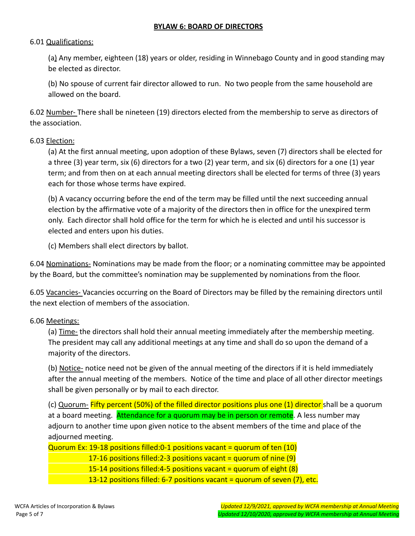#### **BYLAW 6: BOARD OF DIRECTORS**

#### 6.01 Qualifications:

(a) Any member, eighteen (18) years or older, residing in Winnebago County and in good standing may be elected as director.

(b) No spouse of current fair director allowed to run. No two people from the same household are allowed on the board.

6.02 Number- There shall be nineteen (19) directors elected from the membership to serve as directors of the association.

#### 6.03 Election:

(a) At the first annual meeting, upon adoption of these Bylaws, seven (7) directors shall be elected for a three (3) year term, six (6) directors for a two (2) year term, and six (6) directors for a one (1) year term; and from then on at each annual meeting directors shall be elected for terms of three (3) years each for those whose terms have expired.

(b) A vacancy occurring before the end of the term may be filled until the next succeeding annual election by the affirmative vote of a majority of the directors then in office for the unexpired term only. Each director shall hold office for the term for which he is elected and until his successor is elected and enters upon his duties.

(c) Members shall elect directors by ballot.

6.04 Nominations- Nominations may be made from the floor; or a nominating committee may be appointed by the Board, but the committee's nomination may be supplemented by nominations from the floor.

6.05 Vacancies- Vacancies occurring on the Board of Directors may be filled by the remaining directors until the next election of members of the association.

#### 6.06 Meetings:

(a) Time- the directors shall hold their annual meeting immediately after the membership meeting. The president may call any additional meetings at any time and shall do so upon the demand of a majority of the directors.

(b) Notice- notice need not be given of the annual meeting of the directors if it is held immediately after the annual meeting of the members. Notice of the time and place of all other director meetings shall be given personally or by mail to each director.

(c) Quorum- Fifty percent (50%) of the filled director positions plus one (1) director shall be a quorum at a board meeting. Attendance for a quorum may be in person or remote. A less number may adjourn to another time upon given notice to the absent members of the time and place of the adjourned meeting.

Quorum Ex: 19-18 positions filled:  $0-1$  positions vacant = quorum of ten (10)

17-16 positions filled:  $2-3$  positions vacant = quorum of nine (9)

15-14 positions filled:4-5 positions vacant = quorum of eight  $(8)$ 

13-12 positions filled: 6-7 positions vacant = quorum of seven (7), etc.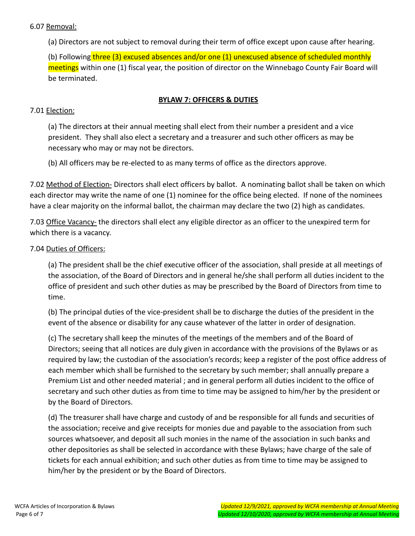#### 6.07 Removal:

(a) Directors are not subject to removal during their term of office except upon cause after hearing.

(b) Following three (3) excused absences and/or one (1) unexcused absence of scheduled monthly meetings within one (1) fiscal year, the position of director on the Winnebago County Fair Board will be terminated.

### **BYLAW 7: OFFICERS & DUTIES**

#### 7.01 Election:

(a) The directors at their annual meeting shall elect from their number a president and a vice president. They shall also elect a secretary and a treasurer and such other officers as may be necessary who may or may not be directors.

(b) All officers may be re-elected to as many terms of office as the directors approve.

7.02 Method of Election- Directors shall elect officers by ballot. A nominating ballot shall be taken on which each director may write the name of one (1) nominee for the office being elected. If none of the nominees have a clear majority on the informal ballot, the chairman may declare the two (2) high as candidates.

7.03 Office Vacancy- the directors shall elect any eligible director as an officer to the unexpired term for which there is a vacancy.

### 7.04 Duties of Officers:

(a) The president shall be the chief executive officer of the association, shall preside at all meetings of the association, of the Board of Directors and in general he/she shall perform all duties incident to the office of president and such other duties as may be prescribed by the Board of Directors from time to time.

(b) The principal duties of the vice-president shall be to discharge the duties of the president in the event of the absence or disability for any cause whatever of the latter in order of designation.

(c) The secretary shall keep the minutes of the meetings of the members and of the Board of Directors; seeing that all notices are duly given in accordance with the provisions of the Bylaws or as required by law; the custodian of the association's records; keep a register of the post office address of each member which shall be furnished to the secretary by such member; shall annually prepare a Premium List and other needed material ; and in general perform all duties incident to the office of secretary and such other duties as from time to time may be assigned to him/her by the president or by the Board of Directors.

(d) The treasurer shall have charge and custody of and be responsible for all funds and securities of the association; receive and give receipts for monies due and payable to the association from such sources whatsoever, and deposit all such monies in the name of the association in such banks and other depositories as shall be selected in accordance with these Bylaws; have charge of the sale of tickets for each annual exhibition; and such other duties as from time to time may be assigned to him/her by the president or by the Board of Directors.